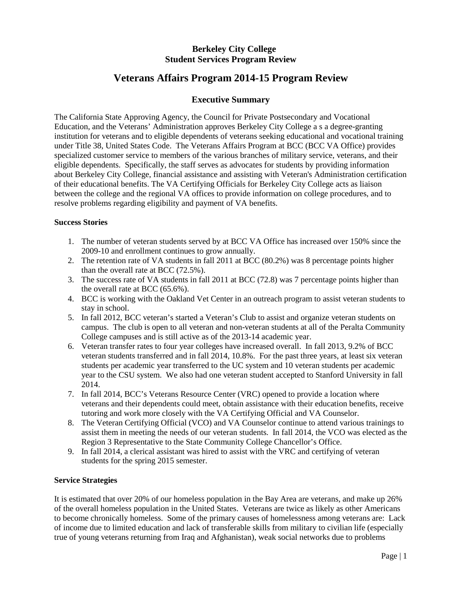# **Berkeley City College Student Services Program Review**

# **Veterans Affairs Program 2014-15 Program Review**

# **Executive Summary**

The California State Approving Agency, the Council for Private Postsecondary and Vocational Education, and the Veterans' Administration approves Berkeley City College a s a degree-granting institution for veterans and to eligible dependents of veterans seeking educational and vocational training under Title 38, United States Code. The Veterans Affairs Program at BCC (BCC VA Office) provides specialized customer service to members of the various branches of military service, veterans, and their eligible dependents. Specifically, the staff serves as advocates for students by providing information about Berkeley City College, financial assistance and assisting with Veteran's Administration certification of their educational benefits. The VA Certifying Officials for Berkeley City College acts as liaison between the college and the regional VA offices to provide information on college procedures, and to resolve problems regarding eligibility and payment of VA benefits.

## **Success Stories**

- 1. The number of veteran students served by at BCC VA Office has increased over 150% since the 2009-10 and enrollment continues to grow annually.
- 2. The retention rate of VA students in fall 2011 at BCC (80.2%) was 8 percentage points higher than the overall rate at BCC (72.5%).
- 3. The success rate of VA students in fall 2011 at BCC (72.8) was 7 percentage points higher than the overall rate at BCC (65.6%).
- 4. BCC is working with the Oakland Vet Center in an outreach program to assist veteran students to stay in school.
- 5. In fall 2012, BCC veteran's started a Veteran's Club to assist and organize veteran students on campus. The club is open to all veteran and non-veteran students at all of the Peralta Community College campuses and is still active as of the 2013-14 academic year.
- 6. Veteran transfer rates to four year colleges have increased overall. In fall 2013, 9.2% of BCC veteran students transferred and in fall 2014, 10.8%. For the past three years, at least six veteran students per academic year transferred to the UC system and 10 veteran students per academic year to the CSU system. We also had one veteran student accepted to Stanford University in fall 2014.
- 7. In fall 2014, BCC's Veterans Resource Center (VRC) opened to provide a location where veterans and their dependents could meet, obtain assistance with their education benefits, receive tutoring and work more closely with the VA Certifying Official and VA Counselor.
- 8. The Veteran Certifying Official (VCO) and VA Counselor continue to attend various trainings to assist them in meeting the needs of our veteran students. In fall 2014, the VCO was elected as the Region 3 Representative to the State Community College Chancellor's Office.
- 9. In fall 2014, a clerical assistant was hired to assist with the VRC and certifying of veteran students for the spring 2015 semester.

### **Service Strategies**

It is estimated that over 20% of our homeless population in the Bay Area are veterans, and make up 26% of the overall homeless population in the United States. Veterans are twice as likely as other Americans to become chronically homeless. Some of the primary causes of homelessness among veterans are: Lack of income due to limited education and lack of transferable skills from military to civilian life (especially true of young veterans returning from Iraq and Afghanistan), weak social networks due to problems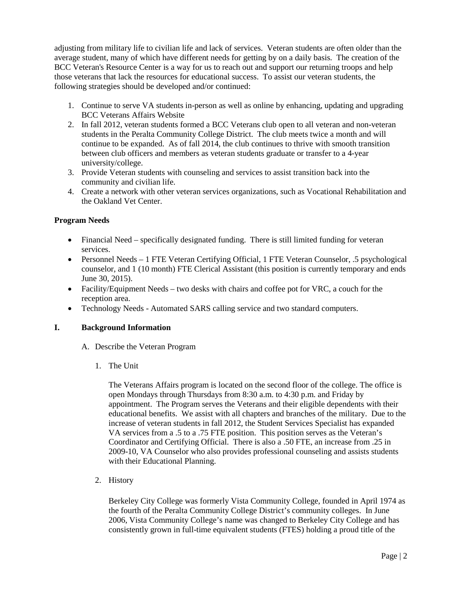adjusting from military life to civilian life and lack of services. Veteran students are often older than the average student, many of which have different needs for getting by on a daily basis. The creation of the BCC Veteran's Resource Center is a way for us to reach out and support our returning troops and help those veterans that lack the resources for educational success. To assist our veteran students, the following strategies should be developed and/or continued:

- 1. Continue to serve VA students in-person as well as online by enhancing, updating and upgrading BCC Veterans Affairs Website
- 2. In fall 2012, veteran students formed a BCC Veterans club open to all veteran and non-veteran students in the Peralta Community College District. The club meets twice a month and will continue to be expanded. As of fall 2014, the club continues to thrive with smooth transition between club officers and members as veteran students graduate or transfer to a 4-year university/college.
- 3. Provide Veteran students with counseling and services to assist transition back into the community and civilian life.
- 4. Create a network with other veteran services organizations, such as Vocational Rehabilitation and the Oakland Vet Center.

## **Program Needs**

- Financial Need specifically designated funding. There is still limited funding for veteran services.
- Personnel Needs 1 FTE Veteran Certifying Official, 1 FTE Veteran Counselor, .5 psychological counselor, and 1 (10 month) FTE Clerical Assistant (this position is currently temporary and ends June 30, 2015).
- Facility/Equipment Needs two desks with chairs and coffee pot for VRC, a couch for the reception area.
- Technology Needs Automated SARS calling service and two standard computers.

### **I. Background Information**

- A. Describe the Veteran Program
	- 1. The Unit

The Veterans Affairs program is located on the second floor of the college. The office is open Mondays through Thursdays from 8:30 a.m. to 4:30 p.m. and Friday by appointment. The Program serves the Veterans and their eligible dependents with their educational benefits. We assist with all chapters and branches of the military. Due to the increase of veteran students in fall 2012, the Student Services Specialist has expanded VA services from a .5 to a .75 FTE position. This position serves as the Veteran's Coordinator and Certifying Official. There is also a .50 FTE, an increase from .25 in 2009-10, VA Counselor who also provides professional counseling and assists students with their Educational Planning.

2. History

Berkeley City College was formerly Vista Community College, founded in April 1974 as the fourth of the Peralta Community College District's community colleges. In June 2006, Vista Community College's name was changed to Berkeley City College and has consistently grown in full-time equivalent students (FTES) holding a proud title of the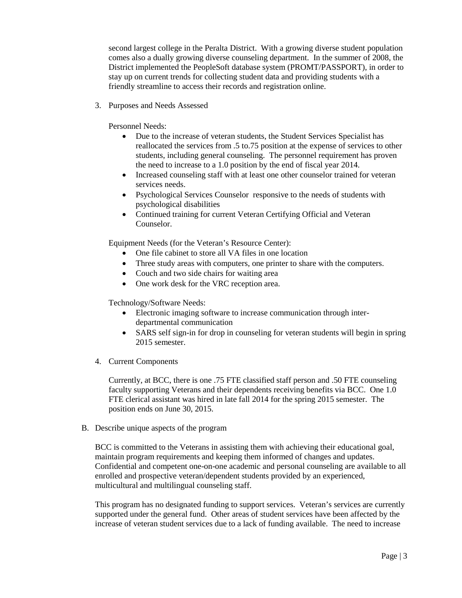second largest college in the Peralta District. With a growing diverse student population comes also a dually growing diverse counseling department. In the summer of 2008, the District implemented the PeopleSoft database system (PROMT/PASSPORT), in order to stay up on current trends for collecting student data and providing students with a friendly streamline to access their records and registration online.

3. Purposes and Needs Assessed

Personnel Needs:

- Due to the increase of veteran students, the Student Services Specialist has reallocated the services from .5 to.75 position at the expense of services to other students, including general counseling. The personnel requirement has proven the need to increase to a 1.0 position by the end of fiscal year 2014.
- Increased counseling staff with at least one other counselor trained for veteran services needs.
- Psychological Services Counselor responsive to the needs of students with psychological disabilities
- Continued training for current Veteran Certifying Official and Veteran Counselor.

Equipment Needs (for the Veteran's Resource Center):

- One file cabinet to store all VA files in one location
- Three study areas with computers, one printer to share with the computers.
- Couch and two side chairs for waiting area
- One work desk for the VRC reception area.

Technology/Software Needs:

- Electronic imaging software to increase communication through interdepartmental communication
- SARS self sign-in for drop in counseling for veteran students will begin in spring 2015 semester.
- 4. Current Components

Currently, at BCC, there is one .75 FTE classified staff person and .50 FTE counseling faculty supporting Veterans and their dependents receiving benefits via BCC. One 1.0 FTE clerical assistant was hired in late fall 2014 for the spring 2015 semester. The position ends on June 30, 2015.

B. Describe unique aspects of the program

BCC is committed to the Veterans in assisting them with achieving their educational goal, maintain program requirements and keeping them informed of changes and updates. Confidential and competent one-on-one academic and personal counseling are available to all enrolled and prospective veteran/dependent students provided by an experienced, multicultural and multilingual counseling staff.

This program has no designated funding to support services. Veteran's services are currently supported under the general fund. Other areas of student services have been affected by the increase of veteran student services due to a lack of funding available. The need to increase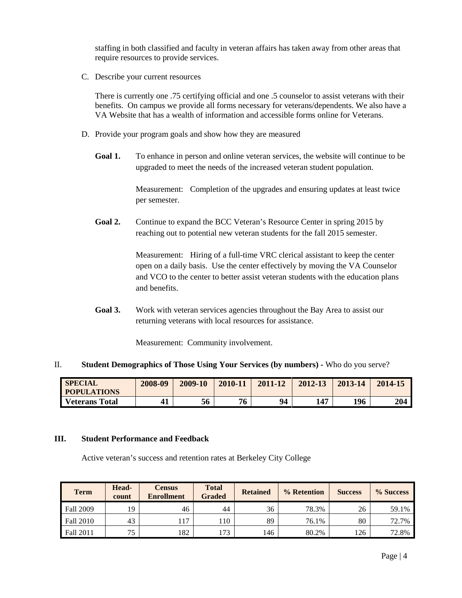staffing in both classified and faculty in veteran affairs has taken away from other areas that require resources to provide services.

C. Describe your current resources

There is currently one .75 certifying official and one .5 counselor to assist veterans with their benefits. On campus we provide all forms necessary for veterans/dependents. We also have a VA Website that has a wealth of information and accessible forms online for Veterans.

- D. Provide your program goals and show how they are measured
	- Goal 1. To enhance in person and online veteran services, the website will continue to be upgraded to meet the needs of the increased veteran student population.

Measurement: Completion of the upgrades and ensuring updates at least twice per semester.

Goal 2. Continue to expand the BCC Veteran's Resource Center in spring 2015 by reaching out to potential new veteran students for the fall 2015 semester.

> Measurement: Hiring of a full-time VRC clerical assistant to keep the center open on a daily basis. Use the center effectively by moving the VA Counselor and VCO to the center to better assist veteran students with the education plans and benefits.

**Goal 3.** Work with veteran services agencies throughout the Bay Area to assist our returning veterans with local resources for assistance.

Measurement: Community involvement.

#### II. **Student Demographics of Those Using Your Services (by numbers) -** Who do you serve?

| <b>SPECIAL</b><br><b>POPULATIONS</b> | 2008-09 | 2009-10 | 2010-11 | 2011-12 | 2012-13 | 2013-14 | 2014-15 |
|--------------------------------------|---------|---------|---------|---------|---------|---------|---------|
| <b>Veterans Total</b>                |         | 56      | 76      | 94      | 147     | 196     | 204     |

#### **III. Student Performance and Feedback**

Active veteran's success and retention rates at Berkeley City College

| <b>Term</b>      | Head-<br>count | Census<br><b>Enrollment</b> | <b>Total</b><br><b>Graded</b> | <b>Retained</b> | % Retention | <b>Success</b> | % Success |
|------------------|----------------|-----------------------------|-------------------------------|-----------------|-------------|----------------|-----------|
| <b>Fall 2009</b> | 19             | 46                          | 44                            | 36              | 78.3%       | 26             | 59.1%     |
| Fall 2010        | 43             | 117                         | 110                           | 89              | 76.1%       | 80             | 72.7%     |
| Fall 2011        | 75             | 182                         | 173                           | 146             | 80.2%       | 126            | 72.8%     |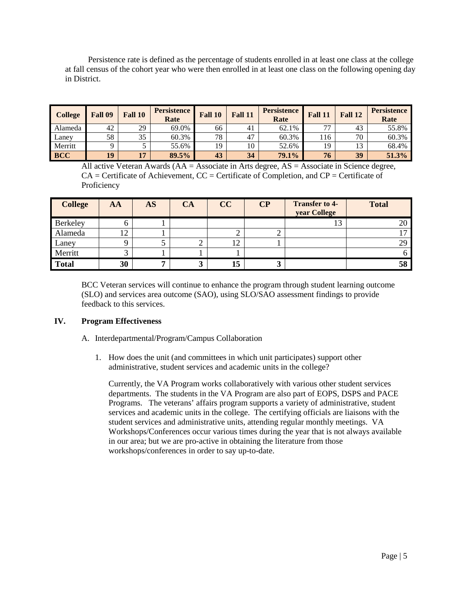Persistence rate is defined as the percentage of students enrolled in at least one class at the college at fall census of the cohort year who were then enrolled in at least one class on the following opening day in District.

| <b>College</b> | Fall 09 | Fall 10 | <b>Persistence</b><br>Rate | Fall 10 | Fall 11 | <b>Persistence</b><br>Rate | Fall 11 | Fall 12 | <b>Persistence</b><br>Rate |
|----------------|---------|---------|----------------------------|---------|---------|----------------------------|---------|---------|----------------------------|
| Alameda        | 42      | 29      | 69.0%                      | 66      | 41      | 62.1%                      | 77      | 43      | 55.8%                      |
| Laney          | 58      | 35      | 60.3%                      | 78      | 47      | 60.3%                      | l 16    | 70      | 60.3%                      |
| Merritt        |         |         | 55.6%                      | 19      | 10      | 52.6%                      | 19      | 13      | 68.4%                      |
| <b>BCC</b>     | 19      | 17      | 89.5%                      | 43      | 34      | 79.1%                      | 76      | 39      | 51.3%                      |

All active Veteran Awards (AA = Associate in Arts degree, AS = Associate in Science degree,  $CA =$  Certificate of Achievement,  $CC =$  Certificate of Completion, and  $CP =$  Certificate of **Proficiency** 

| <b>College</b> | AA | <b>AS</b> | <b>CA</b> | CC | $\overline{\mathbf{C}}\mathbf{P}$ | <b>Transfer to 4-</b><br>year College | <b>Total</b> |
|----------------|----|-----------|-----------|----|-----------------------------------|---------------------------------------|--------------|
| Berkeley       |    |           |           |    |                                   | 13                                    | 20           |
| Alameda        | 12 |           |           |    |                                   |                                       |              |
| Laney          |    |           |           | 12 |                                   |                                       | 29           |
| Merritt        |    |           |           |    |                                   |                                       |              |
| <b>Total</b>   | 30 |           |           | 15 | .,                                |                                       | 58           |

BCC Veteran services will continue to enhance the program through student learning outcome (SLO) and services area outcome (SAO), using SLO/SAO assessment findings to provide feedback to this services.

### **IV. Program Effectiveness**

- A. Interdepartmental/Program/Campus Collaboration
	- 1. How does the unit (and committees in which unit participates) support other administrative, student services and academic units in the college?

Currently, the VA Program works collaboratively with various other student services departments. The students in the VA Program are also part of EOPS, DSPS and PACE Programs. The veterans' affairs program supports a variety of administrative, student services and academic units in the college. The certifying officials are liaisons with the student services and administrative units, attending regular monthly meetings. VA Workshops/Conferences occur various times during the year that is not always available in our area; but we are pro-active in obtaining the literature from those workshops/conferences in order to say up-to-date.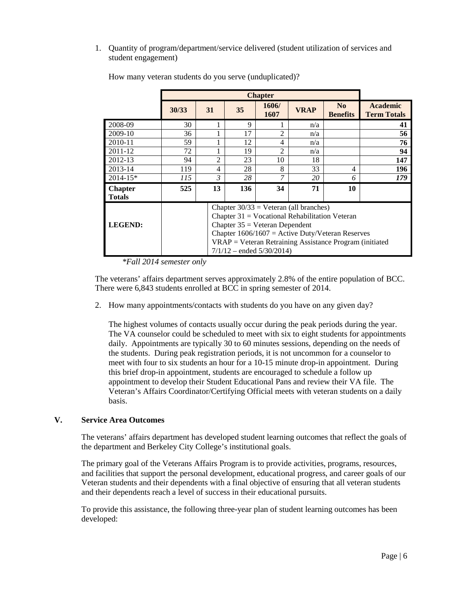1. Quantity of program/department/service delivered (student utilization of services and student engagement)

|                                 | 30/33                                                                                                                                                                                                                                                                                  | 31             | 35          | 1606/<br>1607  | <b>VRAP</b> | N <sub>0</sub><br><b>Benefits</b> | <b>Academic</b><br><b>Term Totals</b> |  |
|---------------------------------|----------------------------------------------------------------------------------------------------------------------------------------------------------------------------------------------------------------------------------------------------------------------------------------|----------------|-------------|----------------|-------------|-----------------------------------|---------------------------------------|--|
| 2008-09                         | 30                                                                                                                                                                                                                                                                                     |                | $\mathbf Q$ |                | n/a         |                                   | 41                                    |  |
| 2009-10                         | 36                                                                                                                                                                                                                                                                                     |                | 17          | $\mathfrak{D}$ | n/a         |                                   | 56                                    |  |
| 2010-11                         | 59                                                                                                                                                                                                                                                                                     |                | 12          | 4              | n/a         |                                   | 76                                    |  |
| 2011-12                         | 72                                                                                                                                                                                                                                                                                     |                | 19          | っ              | n/a         |                                   | 94                                    |  |
| 2012-13                         | 94                                                                                                                                                                                                                                                                                     | $\mathfrak{D}$ | 23          | 10             | 18          |                                   | 147                                   |  |
| 2013-14                         | 119                                                                                                                                                                                                                                                                                    | 4              | 28          | 8              | 33          | 4                                 | 196                                   |  |
| $2014 - 15*$                    | 115                                                                                                                                                                                                                                                                                    | 3              | 28          | 7              | 20          | 6                                 | 179                                   |  |
| <b>Chapter</b><br><b>Totals</b> | 525                                                                                                                                                                                                                                                                                    | 13             | 136         | 34             | 71          | 10                                |                                       |  |
| <b>LEGEND:</b>                  | Chapter $30/33$ = Veteran (all branches)<br>Chapter $31 =$ Vocational Rehabilitation Veteran<br>Chapter $35 =$ Veteran Dependent<br>Chapter $1606/1607$ = Active Duty/Veteran Reserves<br>$VRAP = Veteran Retraining Assistance Program (initiated)$<br>$7/1/12$ – ended $5/30/2014$ ) |                |             |                |             |                                   |                                       |  |

How many veteran students do you serve (unduplicated)?

*\*Fall 2014 semester only*

The veterans' affairs department serves approximately 2.8% of the entire population of BCC. There were 6,843 students enrolled at BCC in spring semester of 2014.

2. How many appointments/contacts with students do you have on any given day?

The highest volumes of contacts usually occur during the peak periods during the year. The VA counselor could be scheduled to meet with six to eight students for appointments daily. Appointments are typically 30 to 60 minutes sessions, depending on the needs of the students. During peak registration periods, it is not uncommon for a counselor to meet with four to six students an hour for a 10-15 minute drop-in appointment. During this brief drop-in appointment, students are encouraged to schedule a follow up appointment to develop their Student Educational Pans and review their VA file. The Veteran's Affairs Coordinator/Certifying Official meets with veteran students on a daily basis.

## **V. Service Area Outcomes**

The veterans' affairs department has developed student learning outcomes that reflect the goals of the department and Berkeley City College's institutional goals.

The primary goal of the Veterans Affairs Program is to provide activities, programs, resources, and facilities that support the personal development, educational progress, and career goals of our Veteran students and their dependents with a final objective of ensuring that all veteran students and their dependents reach a level of success in their educational pursuits.

To provide this assistance, the following three-year plan of student learning outcomes has been developed: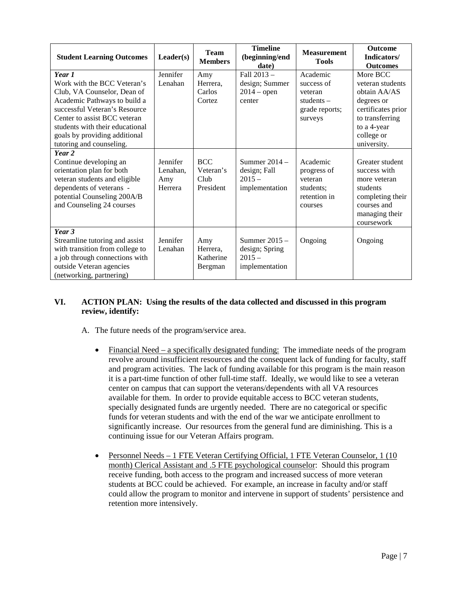| <b>Student Learning Outcomes</b>                                                                                                                                                       | Leader(s)                              | <b>Team</b><br><b>Members</b>                | <b>Timeline</b><br>(beginning/end<br>date)                    | <b>Measurement</b><br><b>Tools</b>                                             | <b>Outcome</b><br>Indicators/<br><b>Outcomes</b>                                                                               |
|----------------------------------------------------------------------------------------------------------------------------------------------------------------------------------------|----------------------------------------|----------------------------------------------|---------------------------------------------------------------|--------------------------------------------------------------------------------|--------------------------------------------------------------------------------------------------------------------------------|
| Year 1<br>Work with the BCC Veteran's<br>Club, VA Counselor, Dean of<br>Academic Pathways to build a<br>successful Veteran's Resource<br>Center to assist BCC veteran                  | Jennifer<br>Lenahan                    | Amy<br>Herrera,<br>Carlos<br>Cortez          | Fall 2013 -<br>design; Summer<br>$2014$ – open<br>center      | Academic<br>success of<br>veteran<br>students $-$<br>grade reports;<br>surveys | More BCC<br>veteran students<br>obtain AA/AS<br>degrees or<br>certificates prior<br>to transferring                            |
| students with their educational<br>goals by providing additional<br>tutoring and counseling.                                                                                           |                                        |                                              |                                                               |                                                                                | to a 4-year<br>college or<br>university.                                                                                       |
| Year 2<br>Continue developing an<br>orientation plan for both<br>veteran students and eligible<br>dependents of veterans -<br>potential Counseling 200A/B<br>and Counseling 24 courses | Jennifer<br>Lenahan.<br>Amy<br>Herrera | <b>BCC</b><br>Veteran's<br>Club<br>President | Summer $2014 -$<br>design; Fall<br>$2015 -$<br>implementation | Academic<br>progress of<br>veteran<br>students:<br>retention in<br>courses     | Greater student<br>success with<br>more veteran<br>students<br>completing their<br>courses and<br>managing their<br>coursework |
| Year 3<br>Streamline tutoring and assist<br>with transition from college to<br>a job through connections with<br>outside Veteran agencies<br>(networking, partnering)                  | Jennifer<br>Lenahan                    | Amy<br>Herrera,<br>Katherine<br>Bergman      | Summer 2015 -<br>design; Spring<br>$2015 -$<br>implementation | Ongoing                                                                        | Ongoing                                                                                                                        |

## **VI. ACTION PLAN: Using the results of the data collected and discussed in this program review, identify:**

- A. The future needs of the program/service area.
	- Financial Need a specifically designated funding: The immediate needs of the program revolve around insufficient resources and the consequent lack of funding for faculty, staff and program activities. The lack of funding available for this program is the main reason it is a part-time function of other full-time staff. Ideally, we would like to see a veteran center on campus that can support the veterans/dependents with all VA resources available for them. In order to provide equitable access to BCC veteran students, specially designated funds are urgently needed. There are no categorical or specific funds for veteran students and with the end of the war we anticipate enrollment to significantly increase. Our resources from the general fund are diminishing. This is a continuing issue for our Veteran Affairs program.
	- Personnel Needs 1 FTE Veteran Certifying Official, 1 FTE Veteran Counselor, 1 (10) month) Clerical Assistant and .5 FTE psychological counselor: Should this program receive funding, both access to the program and increased success of more veteran students at BCC could be achieved. For example, an increase in faculty and/or staff could allow the program to monitor and intervene in support of students' persistence and retention more intensively.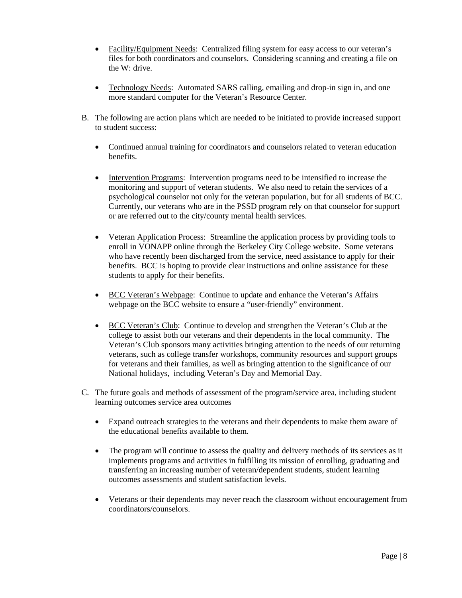- Facility/Equipment Needs: Centralized filing system for easy access to our veteran's files for both coordinators and counselors. Considering scanning and creating a file on the W: drive.
- Technology Needs: Automated SARS calling, emailing and drop-in sign in, and one more standard computer for the Veteran's Resource Center.
- B. The following are action plans which are needed to be initiated to provide increased support to student success:
	- Continued annual training for coordinators and counselors related to veteran education benefits.
	- Intervention Programs: Intervention programs need to be intensified to increase the monitoring and support of veteran students. We also need to retain the services of a psychological counselor not only for the veteran population, but for all students of BCC. Currently, our veterans who are in the PSSD program rely on that counselor for support or are referred out to the city/county mental health services.
	- Veteran Application Process: Streamline the application process by providing tools to enroll in VONAPP online through the Berkeley City College website. Some veterans who have recently been discharged from the service, need assistance to apply for their benefits. BCC is hoping to provide clear instructions and online assistance for these students to apply for their benefits.
	- BCC Veteran's Webpage: Continue to update and enhance the Veteran's Affairs webpage on the BCC website to ensure a "user-friendly" environment.
	- BCC Veteran's Club: Continue to develop and strengthen the Veteran's Club at the college to assist both our veterans and their dependents in the local community. The Veteran's Club sponsors many activities bringing attention to the needs of our returning veterans, such as college transfer workshops, community resources and support groups for veterans and their families, as well as bringing attention to the significance of our National holidays, including Veteran's Day and Memorial Day.
- C. The future goals and methods of assessment of the program/service area, including student learning outcomes service area outcomes
	- Expand outreach strategies to the veterans and their dependents to make them aware of the educational benefits available to them.
	- The program will continue to assess the quality and delivery methods of its services as it implements programs and activities in fulfilling its mission of enrolling, graduating and transferring an increasing number of veteran/dependent students, student learning outcomes assessments and student satisfaction levels.
	- Veterans or their dependents may never reach the classroom without encouragement from coordinators/counselors.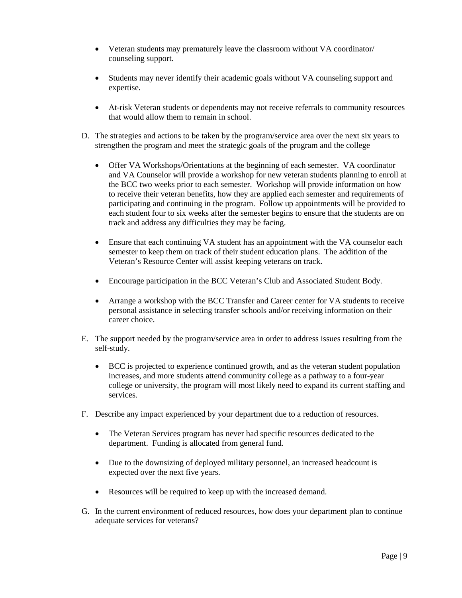- Veteran students may prematurely leave the classroom without VA coordinator/ counseling support.
- Students may never identify their academic goals without VA counseling support and expertise.
- At-risk Veteran students or dependents may not receive referrals to community resources that would allow them to remain in school.
- D. The strategies and actions to be taken by the program/service area over the next six years to strengthen the program and meet the strategic goals of the program and the college
	- Offer VA Workshops/Orientations at the beginning of each semester. VA coordinator and VA Counselor will provide a workshop for new veteran students planning to enroll at the BCC two weeks prior to each semester. Workshop will provide information on how to receive their veteran benefits, how they are applied each semester and requirements of participating and continuing in the program. Follow up appointments will be provided to each student four to six weeks after the semester begins to ensure that the students are on track and address any difficulties they may be facing.
	- Ensure that each continuing VA student has an appointment with the VA counselor each semester to keep them on track of their student education plans. The addition of the Veteran's Resource Center will assist keeping veterans on track.
	- Encourage participation in the BCC Veteran's Club and Associated Student Body.
	- Arrange a workshop with the BCC Transfer and Career center for VA students to receive personal assistance in selecting transfer schools and/or receiving information on their career choice.
- E. The support needed by the program/service area in order to address issues resulting from the self-study.
	- BCC is projected to experience continued growth, and as the veteran student population increases, and more students attend community college as a pathway to a four-year college or university, the program will most likely need to expand its current staffing and services.
- F. Describe any impact experienced by your department due to a reduction of resources.
	- The Veteran Services program has never had specific resources dedicated to the department. Funding is allocated from general fund.
	- Due to the downsizing of deployed military personnel, an increased headcount is expected over the next five years.
	- Resources will be required to keep up with the increased demand.
- G. In the current environment of reduced resources, how does your department plan to continue adequate services for veterans?